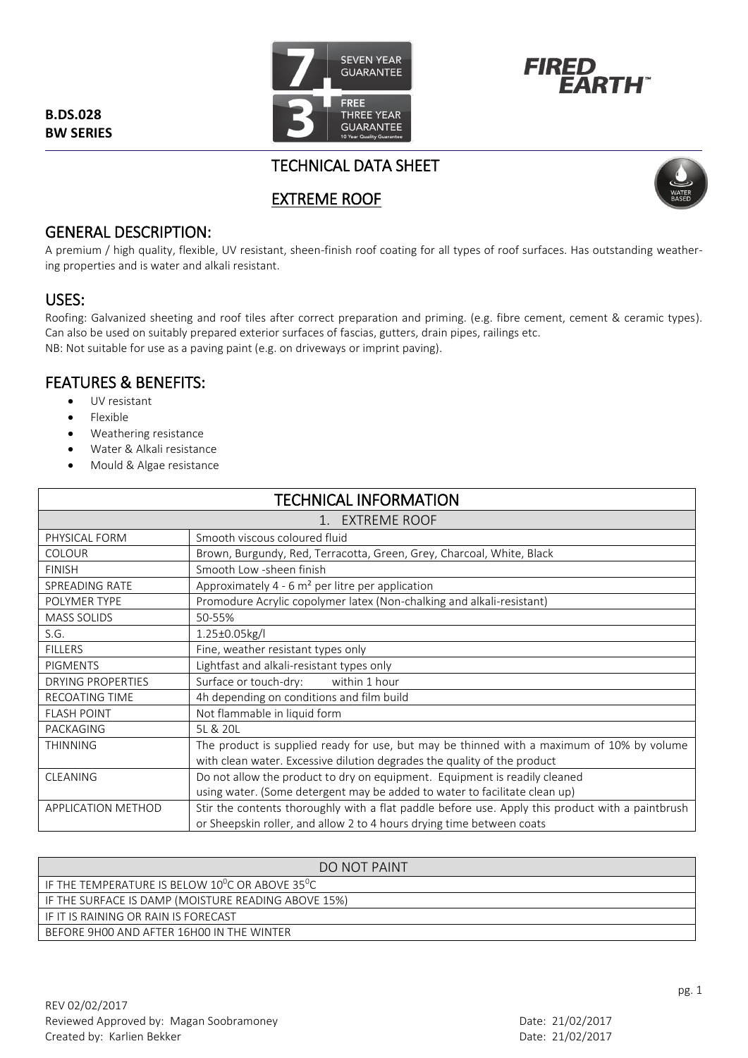**B.DS.028 BW SERIES**





# TECHNICAL DATA SHEET

# EXTREME ROOF



## GENERAL DESCRIPTION:

A premium / high quality, flexible, UV resistant, sheen-finish roof coating for all types of roof surfaces. Has outstanding weathering properties and is water and alkali resistant.

## USES:

Roofing: Galvanized sheeting and roof tiles after correct preparation and priming. (e.g. fibre cement, cement & ceramic types). Can also be used on suitably prepared exterior surfaces of fascias, gutters, drain pipes, railings etc. NB: Not suitable for use as a paving paint (e.g. on driveways or imprint paving).

## FEATURES & BENEFITS:

- UV resistant
- Flexible
- Weathering resistance
- Water & Alkali resistance
- Mould & Algae resistance

| <b>TECHNICAL INFORMATION</b> |                                                                                                  |
|------------------------------|--------------------------------------------------------------------------------------------------|
| 1. EXTREME ROOF              |                                                                                                  |
| PHYSICAL FORM                | Smooth viscous coloured fluid                                                                    |
| <b>COLOUR</b>                | Brown, Burgundy, Red, Terracotta, Green, Grey, Charcoal, White, Black                            |
| <b>FINISH</b>                | Smooth Low -sheen finish                                                                         |
| SPREADING RATE               | Approximately 4 - 6 $m2$ per litre per application                                               |
| POLYMER TYPE                 | Promodure Acrylic copolymer latex (Non-chalking and alkali-resistant)                            |
| <b>MASS SOLIDS</b>           | 50-55%                                                                                           |
| S.G.                         | 1.25±0.05kg/l                                                                                    |
| <b>FILLERS</b>               | Fine, weather resistant types only                                                               |
| <b>PIGMENTS</b>              | Lightfast and alkali-resistant types only                                                        |
| <b>DRYING PROPERTIES</b>     | within 1 hour<br>Surface or touch-dry:                                                           |
| <b>RECOATING TIME</b>        | 4h depending on conditions and film build                                                        |
| <b>FLASH POINT</b>           | Not flammable in liquid form                                                                     |
| PACKAGING                    | 5L & 20L                                                                                         |
| <b>THINNING</b>              | The product is supplied ready for use, but may be thinned with a maximum of 10% by volume        |
|                              | with clean water. Excessive dilution degrades the quality of the product                         |
| <b>CLEANING</b>              | Do not allow the product to dry on equipment. Equipment is readily cleaned                       |
|                              | using water. (Some detergent may be added to water to facilitate clean up)                       |
| <b>APPLICATION METHOD</b>    | Stir the contents thoroughly with a flat paddle before use. Apply this product with a paintbrush |
|                              | or Sheepskin roller, and allow 2 to 4 hours drying time between coats                            |

| DO NOT PAINT                                                       |
|--------------------------------------------------------------------|
| $\,$ IF THE TEMPERATURE IS BELOW 10 $^0$ C OR ABOVE 35 $^0$ C $\,$ |
| IF THE SURFACE IS DAMP (MOISTURE READING ABOVE 15%)                |
| LIF IT IS RAINING OR RAIN IS FORECAST                              |
| BEFORE 9H00 AND AFTER 16H00 IN THE WINTER                          |